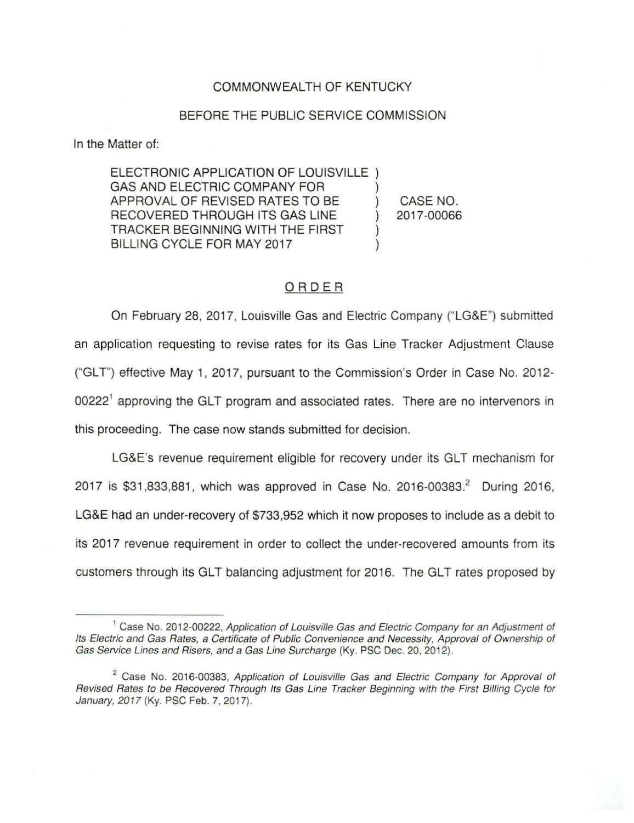### COMMONWEALTH OF KENTUCKY

#### BEFORE THE PUBLIC SERVICE COMMISSION

In the Matter of:

ELECTRONIC APPLICATION OF LOUISVILLE ) GAS AND ELECTRIC COMPANY FOR APPROVAL OF REVISED RATES TO BE ) RECOVERED THROUGH ITS GAS LINE ) TRACKER BEGINNING WITH THE FIRST ) BILLING CYCLE FOR MAY 2017 CASE NO. 2017-00066

# ORDER

On February 28, 2017, Louisville Gas and Electric Company ("LG&E") submitted an application requesting to revise rates for its Gas Line Tracker Adjustment Clause ("GLT") effective May 1, 2017, pursuant to the Commission's Order in Case No. 2012-00222<sup>1</sup> approving the GLT program and associated rates. There are no intervenors in this proceeding. The case now stands submitted for decision.

LG&E's revenue requirement eligible for recovery under its GLT mechanism for 2017 is \$31,833,881, which was approved in Case No. 2016-00383.<sup>2</sup> During 2016, LG&E had an under-recovery of \$733,952 which it now proposes to include as a debit to its 2017 revenue requirement in order to collect the under-recovered amounts from its customers through its GLT balancing adjustment for 2016. The GLT rates proposed by

<sup>&</sup>lt;sup>1</sup> Case No. 2012-00222, Application of Louisville Gas and Electric Company for an Adjustment of Its Electric and Gas Rates, a Certificate of Public Convenience and Necessity, Approval of Ownership of Gas Service Lines and Risers, and a Gas Line Surcharge (Ky. PSG Dec. 20, 2012).

 $2^2$  Case No. 2016-00383, Application of Louisville Gas and Electric Company for Approval of Revised Rates to be Recovered Through Its Gas Line Tracker Beginning with the First Billing Cycle for January, 2017 (Ky. PSG Feb. 7, 2017).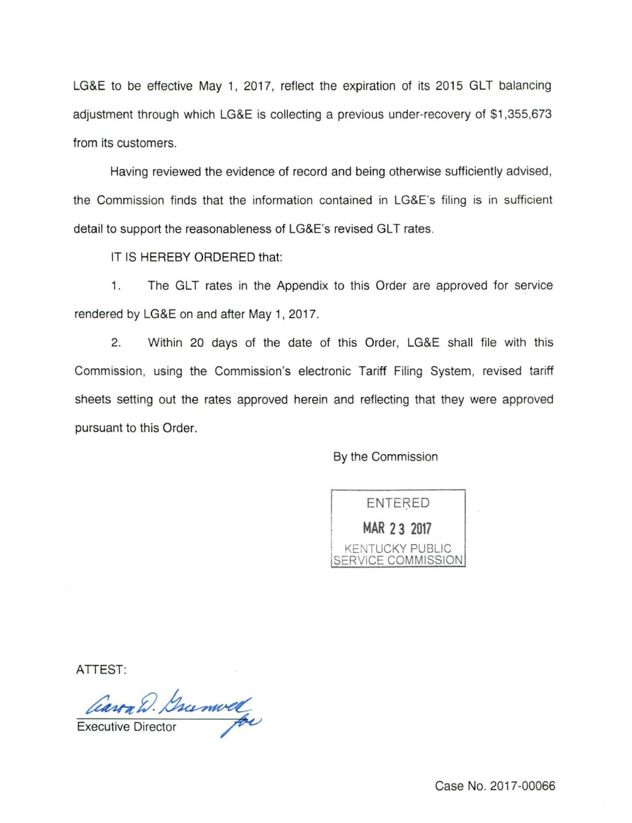LG&E to be effective May 1, 2017, reflect the expiration of its 2015 GLT balancing adjustment through which LG&E is collecting a previous under-recovery of \$1,355,673 from its customers.

Having reviewed the evidence of record and being otherwise sufficiently advised, the Commission finds that the information contained in LG&E's filing is in sufficient detail to support the reasonableness of LG&E's revised GLT rates.

IT IS HEREBY ORDERED that:

1. The GLT rates in the Appendix to this Order are approved for service rendered by LG&E on and after May 1, 2017.

2. Within 20 days of the date of this Order, LG&E shall file with this Commission, using the Commission's electronic Tariff Filing System, revised tariff sheets setting out the rates approved herein and reflecting that they were approved pursuant to this Order.

By the Commission



ATTEST:

D. Gramvel Gramvel

Executive Direct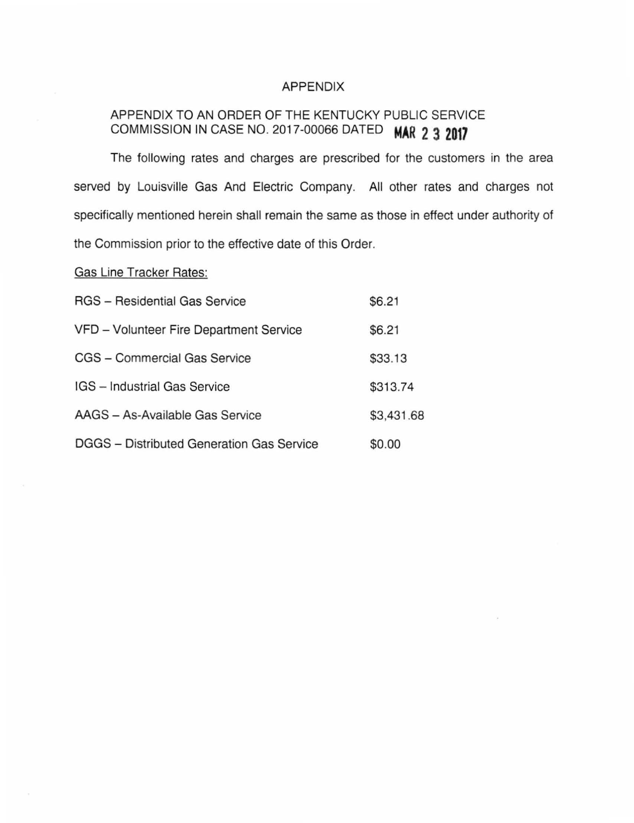## APPENDIX

# APPENDIX TO AN ORDER OF THE KENTUCKY PUBLIC SERVICE COMMISSION IN CASE NO. 2017-00066 DATED **MAR 2 3 2017**

The following rates and charges are prescribed for the customers in the area served by Louisville Gas And Electric Company. All other rates and charges not specifically mentioned herein shall remain the same as those in effect under authority of the Commission prior to the effective date of this Order.

Gas Line Tracker Rates:

| <b>RGS</b> - Residential Gas Service      | \$6.21     |
|-------------------------------------------|------------|
| VFD - Volunteer Fire Department Service   | \$6.21     |
| CGS - Commercial Gas Service              | \$33.13    |
| IGS - Industrial Gas Service              | \$313.74   |
| AAGS - As-Available Gas Service           | \$3,431.68 |
| DGGS - Distributed Generation Gas Service | \$0.00     |